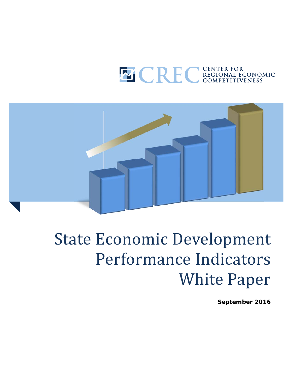



# **State Economic Development** Performance Indicators **White Paper**

**September 2016**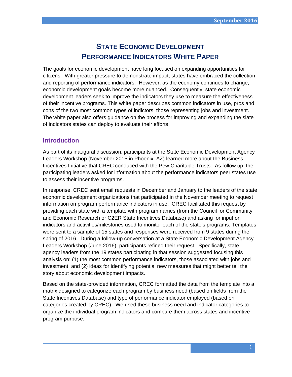# **STATE ECONOMIC DEVELOPMENT PERFORMANCE INDICATORS WHITE PAPER**

The goals for economic development have long focused on expanding opportunities for citizens. With greater pressure to demonstrate impact, states have embraced the collection and reporting of performance indicators. However, as the economy continues to change, economic development goals become more nuanced. Consequently, state economic development leaders seek to improve the indicators they use to measure the effectiveness of their incentive programs. This white paper describes common indicators in use, pros and cons of the two most common types of indictors: those representing jobs and investment. The white paper also offers guidance on the process for improving and expanding the slate of indicators states can deploy to evaluate their efforts.

# **Introduction**

As part of its inaugural discussion, participants at the State Economic Development Agency Leaders Workshop (November 2015 in Phoenix, AZ) learned more about the Business Incentives Initiative that CREC conduced with the Pew Charitable Trusts. As follow up, the participating leaders asked for information about the performance indicators peer states use to assess their incentive programs.

In response, CREC sent email requests in December and January to the leaders of the state economic development organizations that participated in the November meeting to request information on program performance indicators in use. CREC facilitated this request by providing each state with a template with program names (from the Council for Community and Economic Research or C2ER State Incentives Database) and asking for input on indicators and activities/milestones used to monitor each of the state's programs. Templates were sent to a sample of 15 states and responses were received from 9 states during the spring of 2016. During a follow-up conversation at a State Economic Development Agency Leaders Workshop (June 2016), participants refined their request. Specifically, state agency leaders from the 19 states participating in that session suggested focusing this analysis on: (1) the most common performance indicators, those associated with jobs and investment, and (2) ideas for identifying potential new measures that might better tell the story about economic development impacts.

Based on the state-provided information, CREC formatted the data from the template into a matrix designed to categorize each program by business need (based on fields from the State Incentives Database) and type of performance indicator employed (based on categories created by CREC). We used these business need and indicator categories to organize the individual program indicators and compare them across states and incentive program purpose.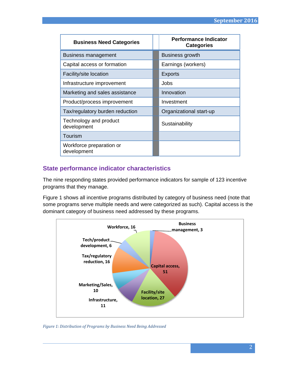| <b>Business Need Categories</b>         | <b>Performance Indicator</b><br><b>Categories</b> |
|-----------------------------------------|---------------------------------------------------|
| Business management                     | Business growth                                   |
| Capital access or formation             | Earnings (workers)                                |
| Facility/site location                  | <b>Exports</b>                                    |
| Infrastructure improvement              | Jobs                                              |
| Marketing and sales assistance          | Innovation                                        |
| Product/process improvement             | Investment                                        |
| Tax/regulatory burden reduction         | Organizational start-up                           |
| Technology and product<br>development   | Sustainability                                    |
| Tourism                                 |                                                   |
| Workforce preparation or<br>development |                                                   |

# **State performance indicator characteristics**

The nine responding states provided performance indicators for sample of 123 incentive programs that they manage.

Figure 1 shows all incentive programs distributed by category of business need (note that some programs serve multiple needs and were categorized as such). Capital access is the dominant category of business need addressed by these programs.



*Figure 1: Distribution of Programs by Business Need Being Addressed*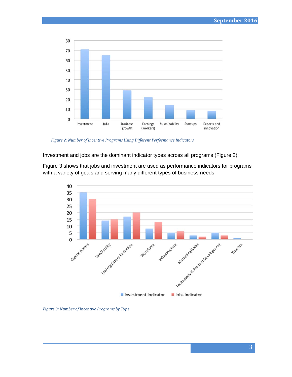

*Figure 2: Number of Incentive Programs Using Different Performance Indicators*

Investment and jobs are the dominant indicator types across all programs (Figure 2):

Figure 3 shows that jobs and investment are used as performance indicators for programs with a variety of goals and serving many different types of business needs.



*Figure 3: Number of Incentive Programs by Type*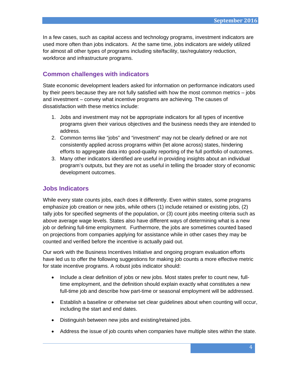In a few cases, such as capital access and technology programs, investment indicators are used more often than jobs indicators. At the same time, jobs indicators are widely utilized for almost all other types of programs including site/facility, tax/regulatory reduction, workforce and infrastructure programs.

# **Common challenges with indicators**

State economic development leaders asked for information on performance indicators used by their peers because they are not fully satisfied with how the most common metrics – jobs and investment – convey what incentive programs are achieving. The causes of dissatisfaction with these metrics include:

- 1. Jobs and investment may not be appropriate indicators for all types of incentive programs given their various objectives and the business needs they are intended to address.
- 2. Common terms like "jobs" and "investment" may not be clearly defined or are not consistently applied across programs within (let alone across) states, hindering efforts to aggregate data into good-quality reporting of the full portfolio of outcomes.
- 3. Many other indicators identified are useful in providing insights about an individual program's outputs, but they are not as useful in telling the broader story of economic development outcomes.

# **Jobs Indicators**

While every state counts jobs, each does it differently. Even within states, some programs emphasize job creation or new jobs, while others (1) include retained or existing jobs, (2) tally jobs for specified segments of the population, or (3) count jobs meeting criteria such as above average wage levels. States also have different ways of determining what is a new job or defining full-time employment. Furthermore, the jobs are sometimes counted based on projections from companies applying for assistance while in other cases they may be counted and verified before the incentive is actually paid out.

Our work with the Business Incentives Initiative and ongoing program evaluation efforts have led us to offer the following suggestions for making job counts a more effective metric for state incentive programs. A robust jobs indicator should:

- Include a clear definition of jobs or new jobs. Most states prefer to count new, fulltime employment, and the definition should explain exactly what constitutes a new full-time job and describe how part-time or seasonal employment will be addressed.
- Establish a baseline or otherwise set clear guidelines about when counting will occur, including the start and end dates.
- Distinguish between new jobs and existing/retained jobs.
- Address the issue of job counts when companies have multiple sites within the state.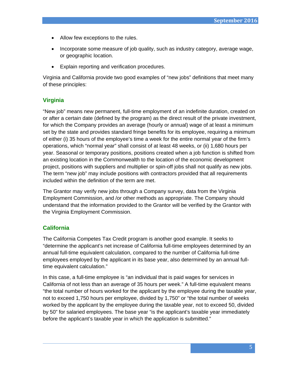- Allow few exceptions to the rules.
- Incorporate some measure of job quality, such as industry category, average wage, or geographic location.
- Explain reporting and verification procedures.

Virginia and California provide two good examples of "new jobs" definitions that meet many of these principles:

# **Virginia**

"New job" means new permanent, full-time employment of an indefinite duration, created on or after a certain date (defined by the program) as the direct result of the private investment, for which the Company provides an average (hourly or annual) wage of at least a minimum set by the state and provides standard fringe benefits for its employee, requiring a minimum of either (i) 35 hours of the employee's time a week for the entire normal year of the firm's operations, which "normal year" shall consist of at least 48 weeks, or (ii) 1,680 hours per year. Seasonal or temporary positions, positions created when a job function is shifted from an existing location in the Commonwealth to the location of the economic development project, positions with suppliers and multiplier or spin-off jobs shall not qualify as new jobs. The term "new job" may include positions with contractors provided that all requirements included within the definition of the term are met.

The Grantor may verify new jobs through a Company survey, data from the Virginia Employment Commission, and /or other methods as appropriate. The Company should understand that the information provided to the Grantor will be verified by the Grantor with the Virginia Employment Commission.

# **California**

The California Competes Tax Credit program is another good example. It seeks to "determine the applicant's net increase of California full-time employees determined by an annual full-time equivalent calculation, compared to the number of California full-time employees employed by the applicant in its base year, also determined by an annual fulltime equivalent calculation."

In this case, a full-time employee is "an individual that is paid wages for services in California of not less than an average of 35 hours per week." A full-time equivalent means "the total number of hours worked for the applicant by the employee during the taxable year, not to exceed 1,750 hours per employee, divided by 1,750" or "the total number of weeks worked by the applicant by the employee during the taxable year, not to exceed 50, divided by 50" for salaried employees. The base year "is the applicant's taxable year immediately before the applicant's taxable year in which the application is submitted."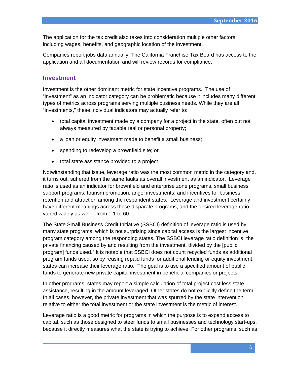The application for the tax credit also takes into consideration multiple other factors, including wages, benefits, and geographic location of the investment.

Companies report jobs data annually. The California Franchise Tax Board has access to the application and all documentation and will review records for compliance.

#### **Investment**

Investment is the other dominant metric for state incentive programs. The use of "investment" as an indicator category can be problematic because it includes many different types of metrics across programs serving multiple business needs. While they are all "investments," these individual indicators may actually refer to:

- total capital investment made by a company for a project in the state, often but not always measured by taxable real or personal property;
- a loan or equity investment made to benefit a small business;
- spending to redevelop a brownfield site; or
- total state assistance provided to a project.

Notwithstanding that issue, leverage ratio was the most common metric in the category and, it turns out, suffered from the same faults as overall investment as an indicator. Leverage ratio is used as an indicator for brownfield and enterprise zone programs, small business support programs, tourism promotion, angel investments, and incentives for business retention and attraction among the respondent states. Leverage and investment certainly have different meanings across these disparate programs, and the desired leverage ratio varied widely as well – from 1.1 to 60.1.

The State Small Business Credit Initiative (SSBCI) definition of leverage ratio is used by many state programs, which is not surprising since capital access is the largest incentive program category among the responding states. The SSBCI leverage ratio definition is "the private financing caused by and resulting from the investment, divided by the [public program] funds used." It is notable that SSBCI does not count recycled funds as additional program funds used, so by reusing repaid funds for additional lending or equity investment, states can increase their leverage ratio. The goal is to use a specified amount of public funds to generate new private capital investment in beneficial companies or projects.

In other programs, states may report a simple calculation of total project cost less state assistance, resulting in the amount leveraged. Other states do not explicitly define the term. In all cases, however, the private investment that was spurred by the state intervention relative to either the total investment or the state investment is the metric of interest.

Leverage ratio is a good metric for programs in which the purpose is to expand access to capital, such as those designed to steer funds to small businesses and technology start-ups, because it directly measures what the state is trying to achieve. For other programs, such as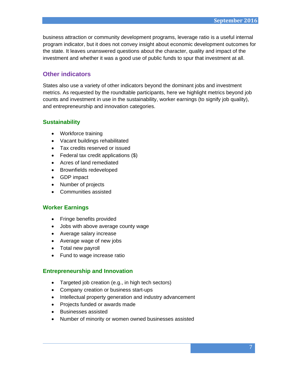business attraction or community development programs, leverage ratio is a useful internal program indicator, but it does not convey insight about economic development outcomes for the state. It leaves unanswered questions about the character, quality and impact of the investment and whether it was a good use of public funds to spur that investment at all.

# **Other indicators**

States also use a variety of other indicators beyond the dominant jobs and investment metrics. As requested by the roundtable participants, here we highlight metrics beyond job counts and investment in use in the sustainability, worker earnings (to signify job quality), and entrepreneurship and innovation categories.

#### **Sustainability**

- Workforce training
- Vacant buildings rehabilitated
- Tax credits reserved or issued
- Federal tax credit applications (\$)
- Acres of land remediated
- Brownfields redeveloped
- GDP impact
- Number of projects
- Communities assisted

#### **Worker Earnings**

- Fringe benefits provided
- Jobs with above average county wage
- Average salary increase
- Average wage of new jobs
- Total new payroll
- Fund to wage increase ratio

#### **Entrepreneurship and Innovation**

- Targeted job creation (e.g., in high tech sectors)
- Company creation or business start-ups
- Intellectual property generation and industry advancement
- Projects funded or awards made
- Businesses assisted
- Number of minority or women owned businesses assisted